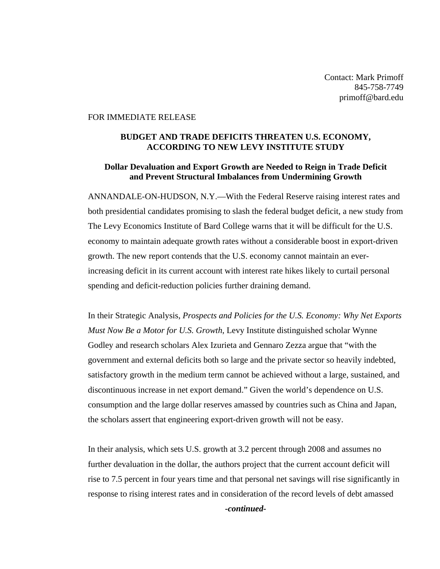Contact: Mark Primoff 845-758-7749 primoff@bard.edu

## FOR IMMEDIATE RELEASE

## **BUDGET AND TRADE DEFICITS THREATEN U.S. ECONOMY, ACCORDING TO NEW LEVY INSTITUTE STUDY**

## **Dollar Devaluation and Export Growth are Needed to Reign in Trade Deficit and Prevent Structural Imbalances from Undermining Growth**

ANNANDALE-ON-HUDSON, N.Y.—With the Federal Reserve raising interest rates and both presidential candidates promising to slash the federal budget deficit, a new study from The Levy Economics Institute of Bard College warns that it will be difficult for the U.S. economy to maintain adequate growth rates without a considerable boost in export-driven growth. The new report contends that the U.S. economy cannot maintain an everincreasing deficit in its current account with interest rate hikes likely to curtail personal spending and deficit-reduction policies further draining demand.

In their Strategic Analysis, *Prospects and Policies for the U.S. Economy: Why Net Exports Must Now Be a Motor for U.S. Growth*, Levy Institute distinguished scholar Wynne Godley and research scholars Alex Izurieta and Gennaro Zezza argue that "with the government and external deficits both so large and the private sector so heavily indebted, satisfactory growth in the medium term cannot be achieved without a large, sustained, and discontinuous increase in net export demand." Given the world's dependence on U.S. consumption and the large dollar reserves amassed by countries such as China and Japan, the scholars assert that engineering export-driven growth will not be easy.

In their analysis, which sets U.S. growth at 3.2 percent through 2008 and assumes no further devaluation in the dollar, the authors project that the current account deficit will rise to 7.5 percent in four years time and that personal net savings will rise significantly in response to rising interest rates and in consideration of the record levels of debt amassed

*-continued-*